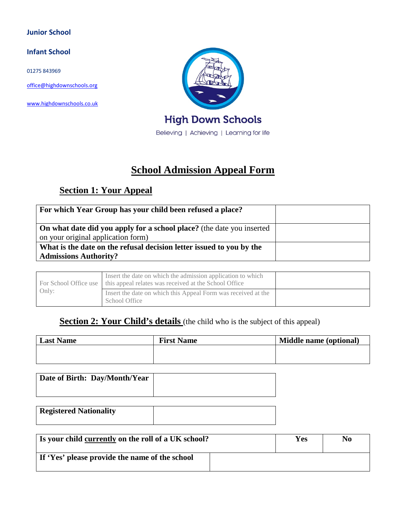#### **Junior School**

#### **Infant School**

01275 843969

[office@highdownschools.org](mailto:office@highdownschools.org)

[www.highdownschools.co.uk](http://www.highdownschools.co.uk/)



**High Down Schools** 

Believing | Achieving | Learning for life

# **School Admission Appeal Form**

# **Section 1: Your Appeal**

| For which Year Group has your child been refused a place?                                                          |  |
|--------------------------------------------------------------------------------------------------------------------|--|
| <b>On what date did you apply for a school place?</b> (the date you inserted<br>on your original application form) |  |
| What is the date on the refusal decision letter issued to you by the<br><b>Admissions Authority?</b>               |  |

|       | Insert the date on which the admission application to which<br>For School Office use   this appeal relates was received at the School Office |  |
|-------|----------------------------------------------------------------------------------------------------------------------------------------------|--|
| Only: | Insert the date on which this Appeal Form was received at the<br>School Office                                                               |  |

### **Section 2: Your Child's details** (the child who is the subject of this appeal)

| <b>Last Name</b> | <b>First Name</b> | Middle name (optional) |
|------------------|-------------------|------------------------|
|                  |                   |                        |
|                  |                   |                        |

| Date of Birth: Day/Month/Year |  |
|-------------------------------|--|
|                               |  |

| <b>Registered Nationality</b> |  |
|-------------------------------|--|
|                               |  |

| Is your child currently on the roll of a UK school? | <b>Yes</b> | No |
|-----------------------------------------------------|------------|----|
| If 'Yes' please provide the name of the school      |            |    |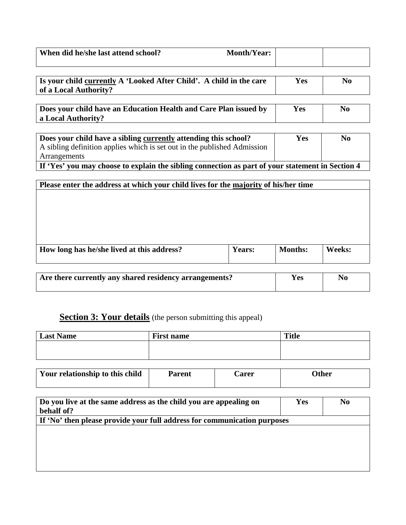| When did he/she last attend school? | <b>Month/Year:</b> |  |
|-------------------------------------|--------------------|--|
|                                     |                    |  |

| Is your child currently A 'Looked After Child'. A child in the care | Y es | No |
|---------------------------------------------------------------------|------|----|
| of a Local Authority?                                               |      |    |

**Does your child have an Education Health and Care Plan issued by a Local Authority? Yes** | **No** 

| Does your child have a sibling currently attending this school?                                               | Yes | No |
|---------------------------------------------------------------------------------------------------------------|-----|----|
| A sibling definition applies which is set out in the published Admission                                      |     |    |
| Arrangements                                                                                                  |     |    |
| If $V_{\alpha\alpha}$ van may choose to evolain the sibling connection as next of your statement in Section 4 |     |    |

**If 'Yes' you may choose to explain the sibling connection as part of your statement in Section 4**

# **Please enter the address at which your child lives for the majority of his/her time**

| How long has he/she lived at this address? | Years: | <b>Months:</b> | Weeks: |
|--------------------------------------------|--------|----------------|--------|
|                                            |        |                |        |

| Are there currently any shared residency arrangements? | Y es | No |
|--------------------------------------------------------|------|----|
|                                                        |      |    |

### **Section 3: Your details** (the person submitting this appeal)

| Last Name | <b>First name</b> | <b>Title</b> |
|-----------|-------------------|--------------|
|           |                   |              |
|           |                   |              |

| Your relationship to this child | Parent | <b>Carer</b> | )ther |
|---------------------------------|--------|--------------|-------|
|                                 |        |              |       |

| Do you live at the same address as the child you are appealing on<br>behalf of? | <b>Yes</b> | N <sub>0</sub> |  |
|---------------------------------------------------------------------------------|------------|----------------|--|
| If 'No' then please provide your full address for communication purposes        |            |                |  |
|                                                                                 |            |                |  |
|                                                                                 |            |                |  |
|                                                                                 |            |                |  |
|                                                                                 |            |                |  |
|                                                                                 |            |                |  |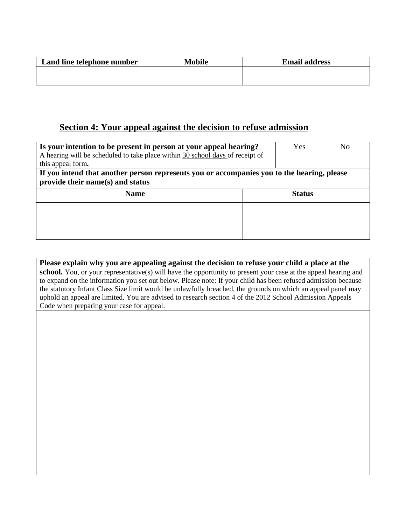| Land line telephone number | Mobile | <b>Email address</b> |
|----------------------------|--------|----------------------|
|                            |        |                      |
|                            |        |                      |

# **Section 4: Your appeal against the decision to refuse admission**

| Is your intention to be present in person at your appeal hearing?<br>A hearing will be scheduled to take place within 30 school days of receipt of<br>this appeal form. |               | Yes | N <sub>0</sub> |  |
|-------------------------------------------------------------------------------------------------------------------------------------------------------------------------|---------------|-----|----------------|--|
| If you intend that another person represents you or accompanies you to the hearing, please<br>provide their name(s) and status                                          |               |     |                |  |
| <b>Name</b>                                                                                                                                                             | <b>Status</b> |     |                |  |
|                                                                                                                                                                         |               |     |                |  |
|                                                                                                                                                                         |               |     |                |  |
|                                                                                                                                                                         |               |     |                |  |

**Please explain why you are appealing against the decision to refuse your child a place at the school.** You, or your representative(s) will have the opportunity to present your case at the appeal hearing and to expand on the information you set out below. Please note: If your child has been refused admission because the statutory Infant Class Size limit would be unlawfully breached, the grounds on which an appeal panel may uphold an appeal are limited. You are advised to research section 4 of the 2012 School Admission Appeals Code when preparing your case for appeal.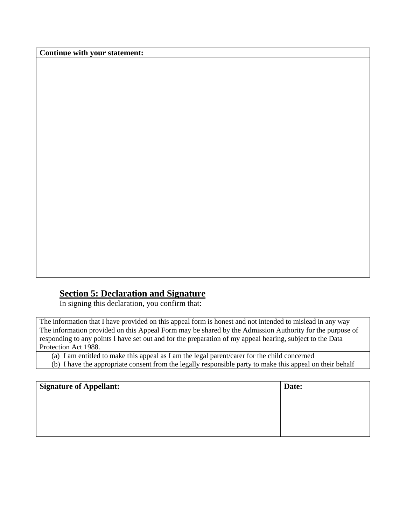**Continue with your statement:**

# **Section 5: Declaration and Signature**

In signing this declaration, you confirm that:

The information that I have provided on this appeal form is honest and not intended to mislead in any way The information provided on this Appeal Form may be shared by the Admission Authority for the purpose of responding to any points I have set out and for the preparation of my appeal hearing, subject to the Data Protection Act 1988.

(a) I am entitled to make this appeal as I am the legal parent/carer for the child concerned (b) I have the appropriate consent from the legally responsible party to make this appeal on their behalf

| <b>Signature of Appellant:</b> | Date: |
|--------------------------------|-------|
|                                |       |
|                                |       |
|                                |       |
|                                |       |